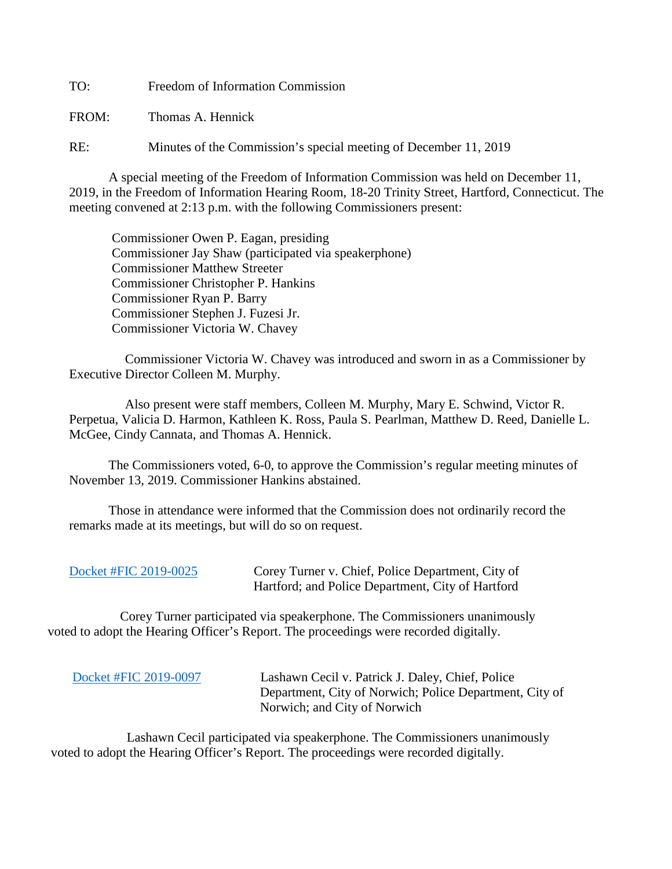TO: Freedom of Information Commission

FROM: Thomas A. Hennick

RE: Minutes of the Commission's special meeting of December 11, 2019

A special meeting of the Freedom of Information Commission was held on December 11, 2019, in the Freedom of Information Hearing Room, 18-20 Trinity Street, Hartford, Connecticut. The meeting convened at 2:13 p.m. with the following Commissioners present:

 Commissioner Owen P. Eagan, presiding Commissioner Jay Shaw (participated via speakerphone) Commissioner Matthew Streeter Commissioner Christopher P. Hankins Commissioner Ryan P. Barry Commissioner Stephen J. Fuzesi Jr. Commissioner Victoria W. Chavey

 Commissioner Victoria W. Chavey was introduced and sworn in as a Commissioner by Executive Director Colleen M. Murphy.

 Also present were staff members, Colleen M. Murphy, Mary E. Schwind, Victor R. Perpetua, Valicia D. Harmon, Kathleen K. Ross, Paula S. Pearlman, Matthew D. Reed, Danielle L. McGee, Cindy Cannata, and Thomas A. Hennick.

The Commissioners voted, 6-0, to approve the Commission's regular meeting minutes of November 13, 2019. Commissioner Hankins abstained.

 Those in attendance were informed that the Commission does not ordinarily record the remarks made at its meetings, but will do so on request.

| Docket #FIC 2019-0025 | Corey Turner v. Chief, Police Department, City of |
|-----------------------|---------------------------------------------------|
|                       | Hartford; and Police Department, City of Hartford |

 Corey Turner participated via speakerphone. The Commissioners unanimously voted to adopt the Hearing Officer's Report. The proceedings were recorded digitally.

 [Docket #FIC 2019-0097](https://portal.ct.gov/-/media/FOI/FinalDecisions/2019/Dec11/2019-0097.pdf?la=en) Lashawn Cecil v. Patrick J. Daley, Chief, Police Department, City of Norwich; Police Department, City of Norwich; and City of Norwich

 Lashawn Cecil participated via speakerphone. The Commissioners unanimously voted to adopt the Hearing Officer's Report. The proceedings were recorded digitally.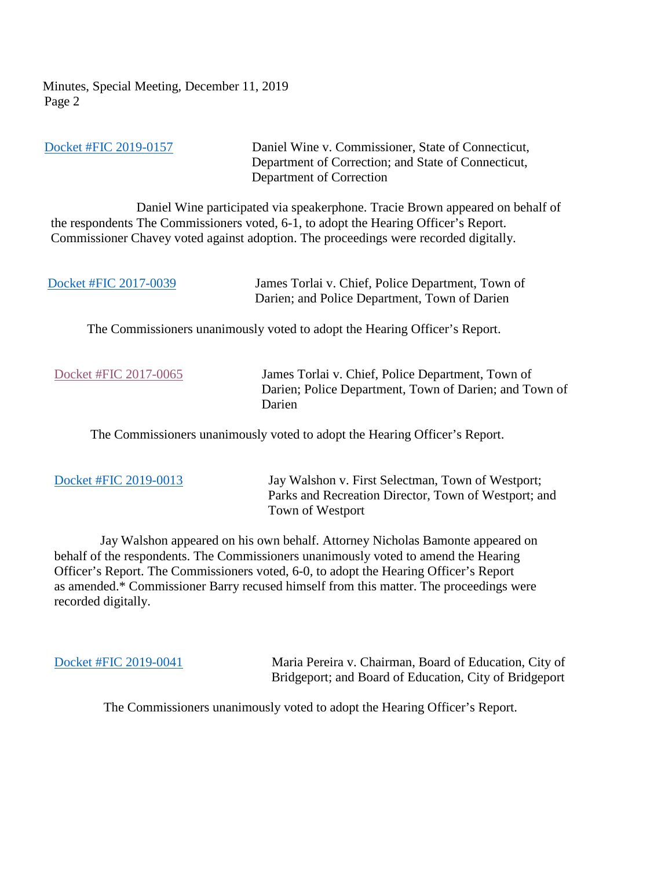[Docket #FIC 2019-0157](https://portal.ct.gov/-/media/FOI/FinalDecisions/2019/Dec11/2019-0157.pdf?la=en) Daniel Wine v. Commissioner, State of Connecticut, Department of Correction; and State of Connecticut, Department of Correction Daniel Wine participated via speakerphone. Tracie Brown appeared on behalf of the respondents The Commissioners voted, 6-1, to adopt the Hearing Officer's Report. Commissioner Chavey voted against adoption. The proceedings were recorded digitally.

| Docket #FIC 2017-0039 | James Torlai v. Chief, Police Department, Town of |
|-----------------------|---------------------------------------------------|
|                       | Darien; and Police Department, Town of Darien     |

The Commissioners unanimously voted to adopt the Hearing Officer's Report.

[Docket #FIC 2017-0065](https://portal.ct.gov/-/media/FOI/FinalDecisions/2019/Dec11/2017-0065%20UPON%20REMAND.pdf?la=en) James Torlai v. Chief, Police Department, Town of Darien; Police Department, Town of Darien; and Town of Darien

The Commissioners unanimously voted to adopt the Hearing Officer's Report.

[Docket #FIC 2019-0013](https://portal.ct.gov/-/media/FOI/FinalDecisions/2019/Dec11/2019-0013.pdf?la=en) Jay Walshon v. First Selectman, Town of Westport; Parks and Recreation Director, Town of Westport; and Town of Westport

 Jay Walshon appeared on his own behalf. Attorney Nicholas Bamonte appeared on behalf of the respondents. The Commissioners unanimously voted to amend the Hearing Officer's Report. The Commissioners voted, 6-0, to adopt the Hearing Officer's Report as amended.\* Commissioner Barry recused himself from this matter. The proceedings were recorded digitally.

 [Docket #FIC 2019-0041](https://portal.ct.gov/-/media/FOI/FinalDecisions/2019/Dec11/2019-0041.pdf?la=en) Maria Pereira v. Chairman, Board of Education, City of Bridgeport; and Board of Education, City of Bridgeport

The Commissioners unanimously voted to adopt the Hearing Officer's Report.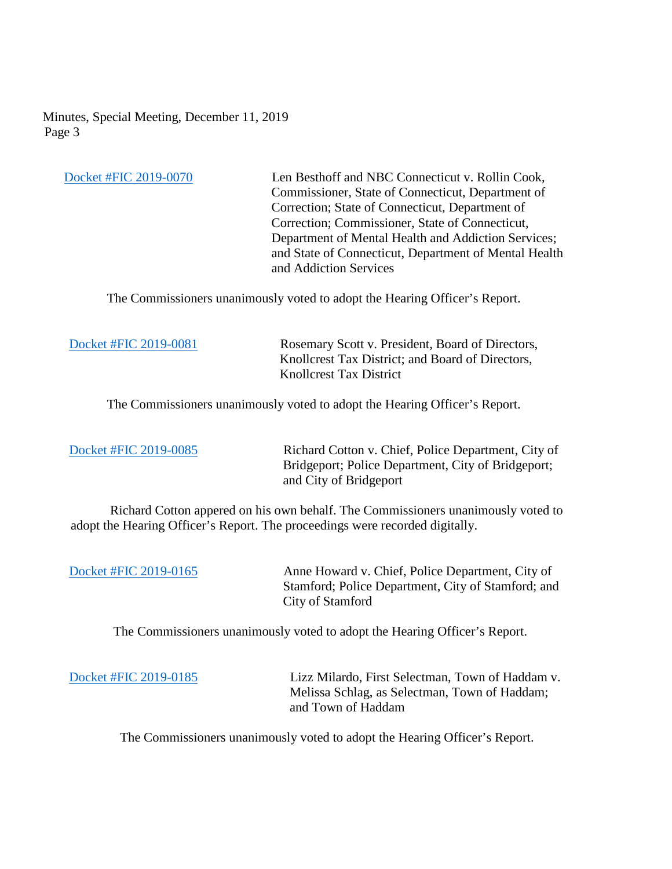[Docket #FIC 2019-0070](https://portal.ct.gov/-/media/FOI/FinalDecisions/2019/Dec11/2019-0070.pdf?la=en) Len Besthoff and NBC Connecticut v. Rollin Cook, Commissioner, State of Connecticut, Department of Correction; State of Connecticut, Department of Correction; Commissioner, State of Connecticut, Department of Mental Health and Addiction Services; and State of Connecticut, Department of Mental Health and Addiction Services

The Commissioners unanimously voted to adopt the Hearing Officer's Report.

[Docket #FIC 2019-0081](https://portal.ct.gov/-/media/FOI/FinalDecisions/2019/Dec11/2019-0081.pdf?la=en) Rosemary Scott v. President, Board of Directors, Knollcrest Tax District; and Board of Directors, Knollcrest Tax District

The Commissioners unanimously voted to adopt the Hearing Officer's Report.

[Docket #FIC 2019-0085](https://portal.ct.gov/-/media/FOI/FinalDecisions/2019/Dec11/2019-0085.pdf?la=en) Richard Cotton v. Chief, Police Department, City of Bridgeport; Police Department, City of Bridgeport; and City of Bridgeport

 Richard Cotton appered on his own behalf. The Commissioners unanimously voted to adopt the Hearing Officer's Report. The proceedings were recorded digitally.

[Docket #FIC 2019-0165](https://portal.ct.gov/-/media/FOI/FinalDecisions/2019/Dec11/2019-0165.pdf?la=en) Anne Howard v. Chief, Police Department, City of Stamford; Police Department, City of Stamford; and City of Stamford

The Commissioners unanimously voted to adopt the Hearing Officer's Report.

[Docket #FIC 2019-0185](https://portal.ct.gov/-/media/FOI/FinalDecisions/2019/Dec11/2019-0185.pdf?la=en) Lizz Milardo, First Selectman, Town of Haddam v. Melissa Schlag, as Selectman, Town of Haddam; and Town of Haddam

The Commissioners unanimously voted to adopt the Hearing Officer's Report.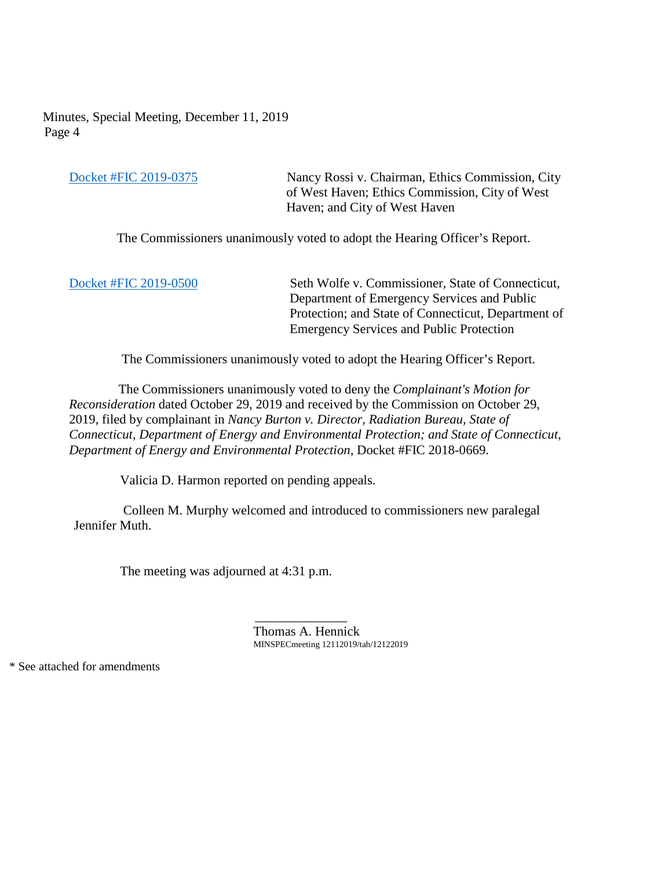[Docket #FIC 2019-0375](https://portal.ct.gov/-/media/FOI/FinalDecisions/2019/Dec11/2019-0375.pdf?la=en) Nancy Rossi v. Chairman, Ethics Commission, City of West Haven; Ethics Commission, City of West Haven; and City of West Haven

The Commissioners unanimously voted to adopt the Hearing Officer's Report.

[Docket #FIC 2019-0500](https://portal.ct.gov/-/media/FOI/FinalDecisions/2019/Dec11/2019-0500.pdf?la=en) Seth Wolfe v. Commissioner, State of Connecticut, Department of Emergency Services and Public Protection; and State of Connecticut, Department of Emergency Services and Public Protection

The Commissioners unanimously voted to adopt the Hearing Officer's Report.

 The Commissioners unanimously voted to deny the *Complainant's Motion for Reconsideration* dated October 29, 2019 and received by the Commission on October 29, 2019, filed by complainant in *Nancy Burton v. Director, Radiation Bureau, State of Connecticut, Department of Energy and Environmental Protection; and State of Connecticut, Department of Energy and Environmental Protection,* Docket #FIC 2018-0669.

Valicia D. Harmon reported on pending appeals.

 Colleen M. Murphy welcomed and introduced to commissioners new paralegal Jennifer Muth.

The meeting was adjourned at 4:31 p.m.

 $\mathcal{L}_\text{max}$  , which is a set of the set of the set of the set of the set of the set of the set of the set of the set of the set of the set of the set of the set of the set of the set of the set of the set of the set of Thomas A. Hennick MINSPECmeeting 12112019/tah/12122019

\* See attached for amendments